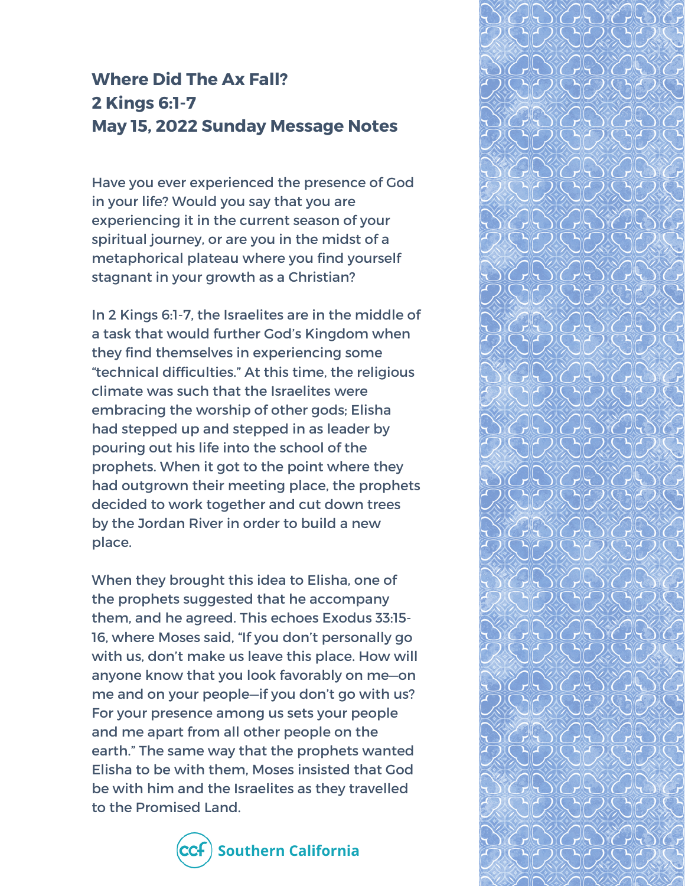## **Where Did The Ax Fall? 2 Kings 6:1-7 May 15, 2022 Sunday Message Notes**

Have you ever experienced the presence of God in your life? Would you say that you are experiencing it in the current season of your spiritual journey, or are you in the midst of a metaphorical plateau where you find yourself stagnant in your growth as a Christian?

In 2 Kings 6:1-7, the Israelites are in the middle of a task that would further God's Kingdom when they find themselves in experiencing some "technical difficulties." At this time, the religious climate was such that the Israelites were embracing the worship of other gods; Elisha had stepped up and stepped in as leader by pouring out his life into the school of the prophets. When it got to the point where they had outgrown their meeting place, the prophets decided to work together and cut down trees by the Jordan River in order to build a new place.

When they brought this idea to Elisha, one of the prophets suggested that he accompany them, and he agreed. This echoes Exodus 33:15- 16, where Moses said, "If you don't personally go with us, don't make us leave this place. How will anyone know that you look favorably on me—on me and on your people—if you don't go with us? For your presence among us sets your people and me apart from all other people on the earth." The same way that the prophets wanted Elisha to be with them, Moses insisted that God be with him and the Israelites as they travelled to the Promised Land.



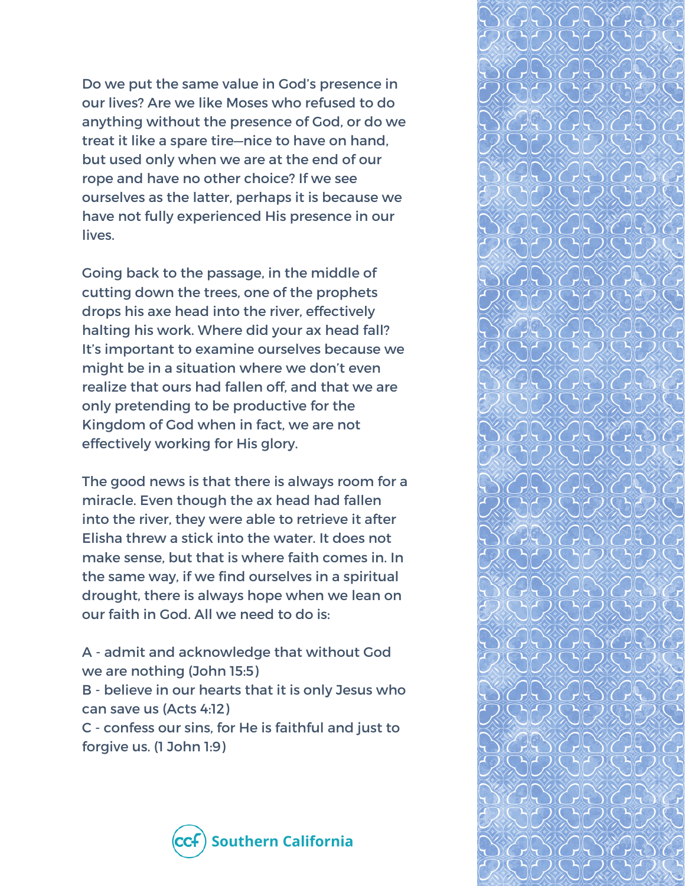Do we put the same value in God's presence in our lives? Are we like Moses who refused to do anything without the presence of God, or do we treat it like a spare tire—nice to have on hand, but used only when we are at the end of our rope and have no other choice? If we see ourselves as the latter, perhaps it is because we have not fully experienced His presence in our lives.

Going back to the passage, in the middle of cutting down the trees, one of the prophets drops his axe head into the river, effectively halting his work. Where did your ax head fall? It's important to examine ourselves because we might be in a situation where we don't even realize that ours had fallen off, and that we are only pretending to be productive for the Kingdom of God when in fact, we are not effectively working for His glory.

The good news is that there is always room for a miracle. Even though the ax head had fallen into the river, they were able to retrieve it after Elisha threw a stick into the water. It does not make sense, but that is where faith comes in. In the same way, if we find ourselves in a spiritual drought, there is always hope when we lean on our faith in God. All we need to do is:

A - admit and acknowledge that without God we are nothing (John 15:5)

B - believe in our hearts that it is only Jesus who can save us (Acts 4:12)

C - confess our sins, for He is faithful and just to forgive us. (1 John 1:9)